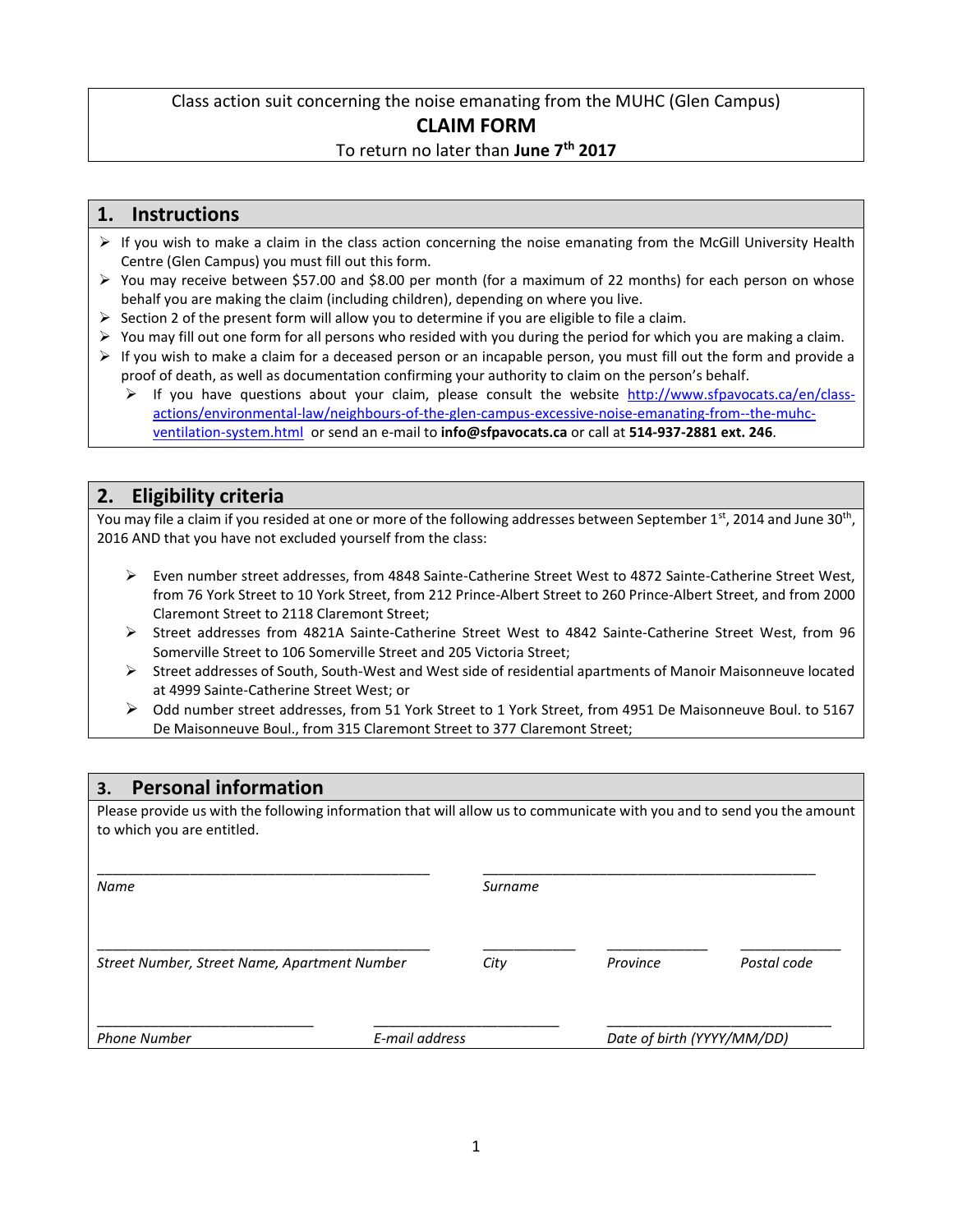### Class action suit concerning the noise emanating from the MUHC (Glen Campus) **CLAIM FORM** To return no later than **June 7th 2017**

#### **1. Instructions**

- $\triangleright$  If you wish to make a claim in the class action concerning the noise emanating from the McGill University Health Centre (Glen Campus) you must fill out this form.
- ➢ You may receive between \$57.00 and \$8.00 per month (for a maximum of 22 months) for each person on whose behalf you are making the claim (including children), depending on where you live.
- $\triangleright$  Section 2 of the present form will allow you to determine if you are eligible to file a claim.
- $\triangleright$  You may fill out one form for all persons who resided with you during the period for which you are making a claim.
- $\triangleright$  If you wish to make a claim for a deceased person or an incapable person, you must fill out the form and provide a proof of death, as well as documentation confirming your authority to claim on the person's behalf.
	- If you have questions about your claim, please consult the website [http://www.sfpavocats.ca/en/class](http://www.sfpavocats.ca/en/class-actions/environmental-law/neighbours-of-the-glen-campus-excessive-noise-emanating-from--the-muhc-ventilation-system.html)[actions/environmental-law/neighbours-of-the-glen-campus-excessive-noise-emanating-from--the-muhc](http://www.sfpavocats.ca/en/class-actions/environmental-law/neighbours-of-the-glen-campus-excessive-noise-emanating-from--the-muhc-ventilation-system.html)[ventilation-system.html](http://www.sfpavocats.ca/en/class-actions/environmental-law/neighbours-of-the-glen-campus-excessive-noise-emanating-from--the-muhc-ventilation-system.html) or send an e-mail to **info@sfpavocats.ca** or call at **514-937-2881 ext. 246**.

## **2. Eligibility criteria**

You may file a claim if you resided at one or more of the following addresses between September 1st, 2014 and June 30<sup>th</sup>, 2016 AND that you have not excluded yourself from the class:

- ➢ Even number street addresses, from 4848 Sainte-Catherine Street West to 4872 Sainte-Catherine Street West, from 76 York Street to 10 York Street, from 212 Prince-Albert Street to 260 Prince-Albert Street, and from 2000 Claremont Street to 2118 Claremont Street;
- ➢ Street addresses from 4821A Sainte-Catherine Street West to 4842 Sainte-Catherine Street West, from 96 Somerville Street to 106 Somerville Street and 205 Victoria Street;
- ➢ Street addresses of South, South-West and West side of residential apartments of Manoir Maisonneuve located at 4999 Sainte-Catherine Street West; or
- ➢ Odd number street addresses, from 51 York Street to 1 York Street, from 4951 De Maisonneuve Boul. to 5167 De Maisonneuve Boul., from 315 Claremont Street to 377 Claremont Street;

#### **3. Personal information**

Please provide us with the following information that will allow us to communicate with you and to send you the amount to which you are entitled.

| Name                                         |                | Surname |                            |             |  |  |
|----------------------------------------------|----------------|---------|----------------------------|-------------|--|--|
| Street Number, Street Name, Apartment Number |                | City    | Province                   | Postal code |  |  |
| <b>Phone Number</b>                          | E-mail address |         | Date of birth (YYYY/MM/DD) |             |  |  |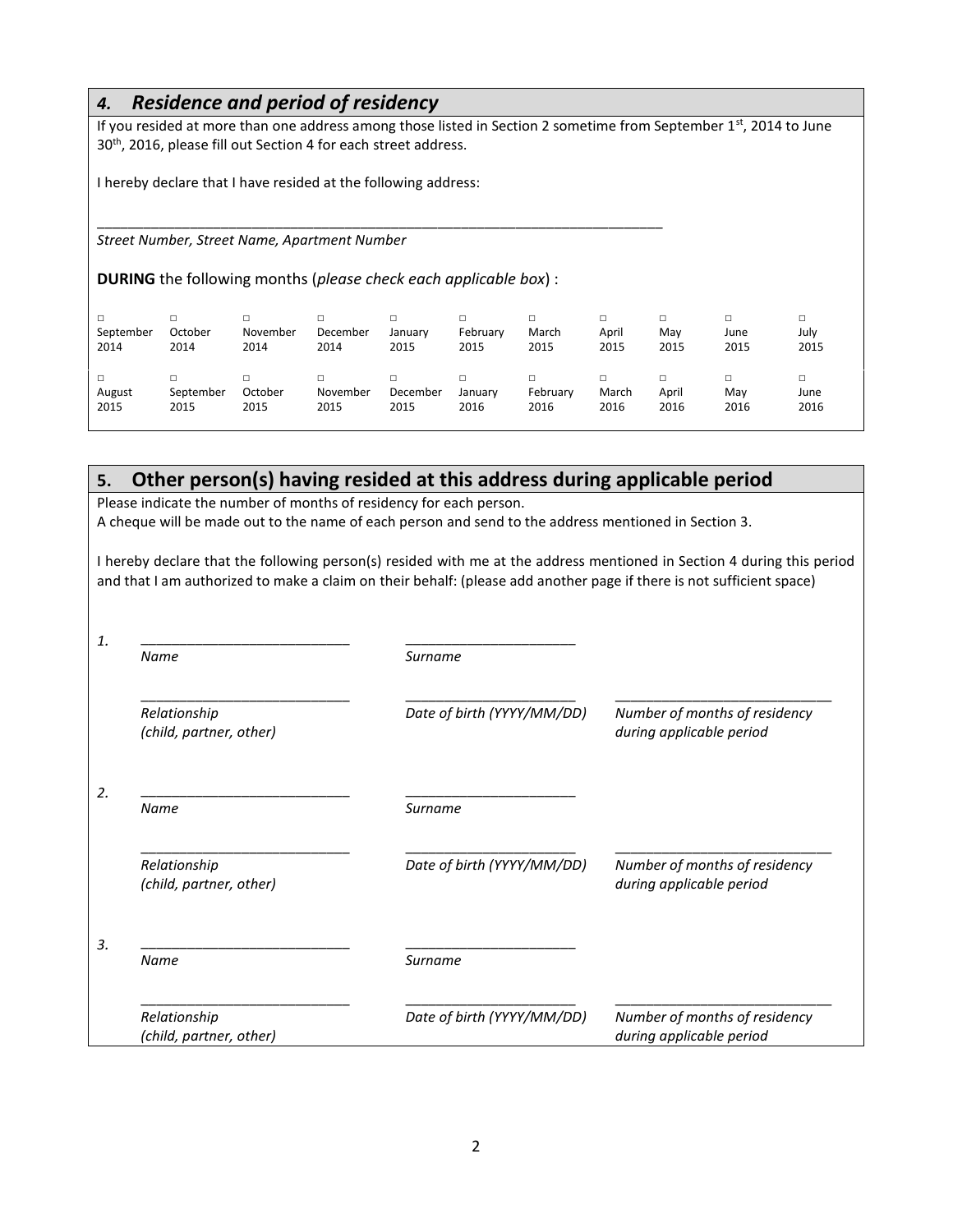### *4. Residence and period of residency*

If you resided at more than one address among those listed in Section 2 sometime from September 1<sup>st</sup>, 2014 to June 30<sup>th</sup>, 2016, please fill out Section 4 for each street address.

I hereby declare that I have resided at the following address:

*Street Number, Street Name, Apartment Number*

**DURING** the following months (*please check each applicable box*) :

\_\_\_\_\_\_\_\_\_\_\_\_\_\_\_\_\_\_\_\_\_\_\_\_\_\_\_\_\_\_\_\_\_\_\_\_\_\_\_\_\_\_\_\_\_\_\_\_\_\_\_\_\_\_\_\_\_\_\_\_\_\_\_\_\_\_\_\_\_\_\_\_\_

| September<br>2014 | □<br>October<br>2014 | November<br>2014 | December<br>2014 | □<br>January<br>2015 | □<br>February<br>2015 | March<br>2015    | April<br>2015 | Mav<br>2015   | □<br>June<br>2015 | □<br>July<br>2015      |
|-------------------|----------------------|------------------|------------------|----------------------|-----------------------|------------------|---------------|---------------|-------------------|------------------------|
| August<br>2015    | September<br>2015    | October<br>2015  | November<br>2015 | December<br>2015     | January<br>2016       | February<br>2016 | March<br>2016 | April<br>2016 | □<br>Mav<br>2016  | $\Box$<br>June<br>2016 |

# **5. Other person(s) having resided at this address during applicable period**

Please indicate the number of months of residency for each person. A cheque will be made out to the name of each person and send to the address mentioned in Section 3.

I hereby declare that the following person(s) resided with me at the address mentioned in Section 4 during this period and that I am authorized to make a claim on their behalf: (please add another page if there is not sufficient space)

| Name                                    | Surname                    |                                                           |  |
|-----------------------------------------|----------------------------|-----------------------------------------------------------|--|
| Relationship<br>(child, partner, other) | Date of birth (YYYY/MM/DD) | Number of months of residency<br>during applicable period |  |
| Name                                    | Surname                    |                                                           |  |
| Relationship<br>(child, partner, other) | Date of birth (YYYY/MM/DD) | Number of months of residency<br>during applicable period |  |
| Name                                    | Surname                    |                                                           |  |
| Relationship<br>(child, partner, other) | Date of birth (YYYY/MM/DD) | Number of months of residency<br>during applicable period |  |